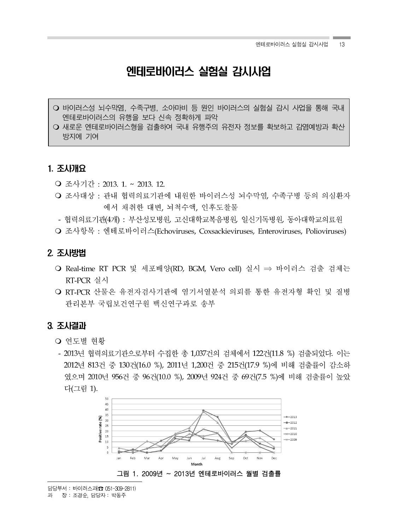# 엔테로바이러스 실험실 감시사업

- 바이러스성 뇌수막염, 수족구병, 소아마비 등 원인 바이러스의 실험실 감시 사업을 통해 국내 엔테로바이러스의 유행을 보다 신속 정확하게 파악
- 새로운 엔테로바이러스형을 검출하여 국내 유행주의 유전자 정보를 확보하고 감염예방과 확산 방지에 기여

## 1. 조사개요†

- 조사기간 : 2013. 1. ~ 2013. 12.
- 조사대상 : 관내 협력의료기관에 내원한 바이러스성 뇌수막염, 수족구병 등의 의심환자 에서 채취한 대변, 뇌척수액, 인후도찰물
- 협력의료기관(4개) : 부산성모병원, 고신대학교복음병원, 일신기독병원, 동아대학교의료원
- 조사항목 : 엔테로바이러스(Echoviruses, Coxsackieviruses, Enteroviruses, Polioviruses)

## 2. 조사방법

- Real-time RT PCR 및 세포배양(RD, BGM, Vero cell) 실시 ⇒ 바이러스 검출 검체는 RT-PCR 실시
- RT-PCR 산물은 유전자검사기관에 염기서열분석 의뢰를 통한 유전자형 확인 및 질병 관리본부 국립보건연구원 백신연구과로 송부

## 3. 조사결과

- 여도별 혀황
- 2013년 협력의료기관으로부터 수집한 총 1,037건의 검체에서 122건(11.8 %) 검출되었다. 이는 2012년 813건 중 130건(16.0 %), 2011년 1,200건 중 215건(17.9 %)에 비해 검출률이 감소하 였으며 2010년 956건 중 96건(10.0 %), 2009년 924건 중 69건(7.5 %)에 비해 검출률이 높았 다(그림 1).

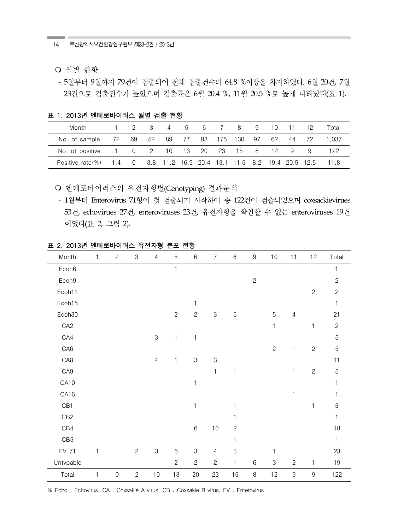- 월별 현황
- 5월부터 9월까지 79건이 검출되어 전체 검출건수의 64.8 %이상을 차지하였다. 6월 20건, 7월 23건으로 검출건수가 높았으며 검출률은 6월 20.4 %, 11월 20.5 %로 높게 나타났다(표 1).

표 1. 2013년 엔테로바이러스 월별 검출 현황

| Month            |              |          | -3   | 4   | 5  | 6 —   |        | 8                                               | 9  | 10 |    | 12 | Total |
|------------------|--------------|----------|------|-----|----|-------|--------|-------------------------------------------------|----|----|----|----|-------|
| No. of sample    | 72.          | 69       | -52  | -89 | 77 |       | 98 175 | - 130                                           | 97 | 62 | 44 | 72 | 1.037 |
| No. of positive  | $\mathbf{1}$ | $\Omega$ | 2 10 |     | 13 | 20 23 |        | 15 8                                            |    | 12 | 9  | 9  | 122   |
| Positive rate(%) | 1.4          | $\Omega$ |      |     |    |       |        | 3.8 11.2 16.9 20.4 13.1 11.5 8.2 19.4 20.5 12.5 |    |    |    |    | 11.8  |

○ 엔테로바이러스의 유전자형별(Genotyping) 결과분석

- 1월부터 Enterovirus 71형이 첫 검출되기 시작하여 총 122건이 검출되었으며 coxsackievirues 53건, echovirues 27건, enteroviruses 23건, 유전자형을 확인할 수 없는 enteroviruses 19건 이었다(표 2, 그림 2).

| Month           | $\mathbf{1}$ | $\mathbf{2}$ | $\,3$        | $\overline{4}$ | 5              | $\,6$                     | $\overline{7}$ | $\, 8$         | $\boldsymbol{9}$ | $10$         | 11             | 12             | Total        |
|-----------------|--------------|--------------|--------------|----------------|----------------|---------------------------|----------------|----------------|------------------|--------------|----------------|----------------|--------------|
| Ecoh6           |              |              |              |                | 1              |                           |                |                |                  |              |                |                | 1            |
| Ecoh9           |              |              |              |                |                |                           |                |                | $\overline{c}$   |              |                |                | $\mathbf{2}$ |
| Ecoh11          |              |              |              |                |                |                           |                |                |                  |              |                | $\mathbf{2}$   | $\mathbf{2}$ |
| Ecoh15          |              |              |              |                |                | 1                         |                |                |                  |              |                |                | 1            |
| Ecoh30          |              |              |              |                | $\overline{c}$ | $\overline{c}$            | 3              | $\overline{5}$ |                  | 5            | $\overline{4}$ |                | 21           |
| CA <sub>2</sub> |              |              |              |                |                |                           |                |                |                  | $\mathbf{1}$ |                | 1              | $\mathbf{2}$ |
| CA4             |              |              |              | 3              | 1              | 1                         |                |                |                  |              |                |                | 5            |
| CA <sub>6</sub> |              |              |              |                |                |                           |                |                |                  | $\mathbf{2}$ | $\mathbf{1}$   | $\mathbf{2}$   | $\mathbf 5$  |
| CA8             |              |              |              | $\overline{4}$ | $\mathbf{1}$   | $\ensuremath{\mathsf{3}}$ | $\mathfrak{S}$ |                |                  |              |                |                | 11           |
| CA9             |              |              |              |                |                |                           | $\mathbf{1}$   | $\mathbf 1$    |                  |              | $\mathbf{1}$   | $\mathbf{2}$   | $\mathbf 5$  |
| CA10            |              |              |              |                |                | $\mathbf{1}$              |                |                |                  |              |                |                | 1            |
| CA16            |              |              |              |                |                |                           |                |                |                  |              | 1              |                |              |
| CB1             |              |              |              |                |                | 1                         |                | 1              |                  |              |                | 1              | 3            |
| CB <sub>2</sub> |              |              |              |                |                |                           |                | 1              |                  |              |                |                | 1            |
| CB4             |              |              |              |                |                | $\,6$                     | $10$           | $\mathbf{c}$   |                  |              |                |                | $18$         |
| CB <sub>5</sub> |              |              |              |                |                |                           |                | $\mathbf 1$    |                  |              |                |                | $\mathbf{1}$ |
| EV 71           | $\mathbf{1}$ |              | $\mathbf{2}$ | $\,3$          | $\,$ 6 $\,$    | $\,3$                     | $\overline{4}$ | 3              |                  | 1            |                |                | 23           |
| Untypable       |              |              |              |                | $\overline{c}$ | $\mathbf{2}$              | $\mathbf{2}$   | 1              | $\,6$            | $\,3$        | $\mathbf{2}$   | 1              | $19$         |
| Total           | $\mathbf{1}$ | $\mathsf{O}$ | $\mathbf{2}$ | $10$           | 13             | 20                        | 23             | 15             | $\, 8$           | 12           | $\overline{9}$ | $\overline{9}$ | 122          |

표 2. 2013년 엔테로바이러스 유전자형 분포 현황

※ Echo : Echovirus, CA : Coxsakie A virus, CB : Coxsakie B virus, EV : Enterovirus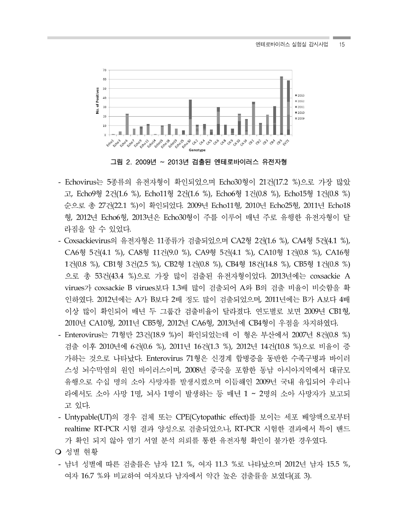

그림 2. 2009년 ~ 2013년 검출된 엔테로바이러스 유전자형

- Echovirus는 5종류의 유전자형이 확인되었으며 Echo30형이 21건(17.2 %)으로 가장 많았 고, Echo9형 2건(1.6 %), Echo11형 2건(1.6 %), Echo6형 1건(0.8 %), Echo15형 1건(0.8 %) 순으로 총 27건(22.1 %)이 확인되었다. 2009년 Echo11형, 2010년 Echo25형, 2011년 Echo18 형, 2012년 Echo6형, 2013년은 Echo30형이 주를 이루어 매년 주로 유행한 유전자형이 달 라짐을 알 수 있었다.
- Coxsackievirus의 유전자형은 11종류가 검출되었으며 CA2형 2건(1.6 %), CA4형 5건(4.1 %), CA6형 5건(4.1 %), CA8형 11건(9.0 %), CA9형 5건(4.1 %), CA10형 1건(0.8 %), CA16형 1건(0.8 %), CB1형 3건(2.5 %), CB2형 1건(0.8 %), CB4형 18건(14.8 %), CB5형 1건(0.8 %) 으로 총 53건(43.4 %)으로 가장 많이 검출된 유전자형이었다. 2013년에는 coxsackie A virues가 coxsackie B virues보다 1.3배 많이 검출되어 A와 B의 검출 비율이 비슷함을 확 인하였다. 2012년에는 A가 B보다 2배 정도 많이 검출되었으며, 2011년에는 B가 A보다 4배 이상 많이 확인되어 매년 두 그룹간 검출비율이 달라졌다. 연도별로 보면 2009년 CB1형, 2010년 CA10형, 2011년 CB5형, 2012년 CA6형, 2013년에 CB4형이 우점을 차지하였다.
- Enterovirus는 71형만 23건(18.9 %)이 확인되었는데 이 형은 부산에서 2007년 8건(0.8 %) 검출 이후 2010년에 6건(0.6 %), 2011년 16건(1.3 %), 2012년 14건(10.8 %)으로 비율이 증 가하는 것으로 나타났다. Enterovirus 71형은 신경계 합병증을 동반한 수족구병과 바이러 스성 뇌수막염의 원인 바이러스이며, 2008년 중국을 포함한 동남 아시아지역에서 대규모 유행으로 수십 명의 소아 사망자를 발생시켰으며 이듬해인 2009년 국내 유입되어 우리나 라에서도 소아 사망 1명, 뇌사 1명이 발생하는 등 매년 1 ~ 2명의 소아 사망자가 보고되 고 있다.
- Untypable(UT)의 경우 검체 또는 CPE(Cytopathic effect)를 보이는 세포 배양액으로부터 realtime RT-PCR 시험 결과 양성으로 검출되었으나, RT-PCR 시험한 결과에서 특이 밴드 가 확인 되지 않아 염기 서열 분석 의뢰를 통한 유전자형 확인이 불가한 경우였다.
- 성별 현황
- 남녀 성별에 따른 검출률은 남자 12.1 %, 여자 11.3 %로 나타났으며 2012년 남자 15.5 %, 여자 16.7 %와 비교하여 여자보다 남자에서 약간 높은 검출률을 보였다(표 3).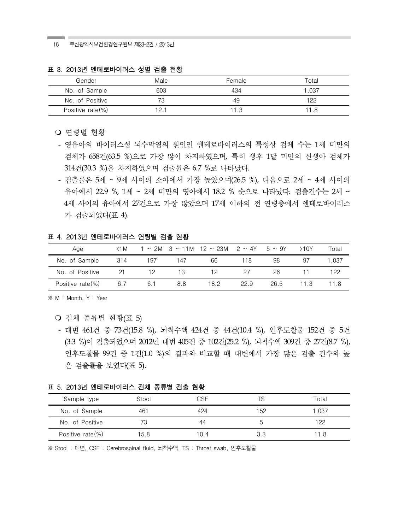부산광역시보건환경연구원보 제23-2권 / 2013년 16

| Gender           | Male | Female | Total |
|------------------|------|--------|-------|
| No. of Sample    | 603  | 434    | 1.037 |
| No. of Positive  |      | 49     | 122   |
| Positive rate(%) | 12.  |        |       |

#### 표 3. 2013년 엔테로바이러스 성별 검출 현황

○ 여령별 현황

- 영유아의 바이러스성 뇌수막염의 원인인 엔테로바이러스의 특성상 검체 수는 1세 미만의 검체가 658건(63.5 %)으로 가장 많이 차지하였으며, 특히 생후 1달 미만의 신생아 검체가 314건(30.3 %)을 차지하였으며 검출률은 6.7 %로 나타났다.
- 검출률은 5세 ~ 9세 사이의 소아에서 가장 높았으며(26.5 %), 다음으로 2세 ~ 4세 사이의 유아에서 22.9 %, 1세 ~ 2세 미만의 영아에서 18.2 % 순으로 나타났다. 검출건수는 2세 ~ 4세 사이의 유아에서 27건으로 가장 많았으며 17세 이하의 전 여령층에서 에테로바이러스 가 검출되었다(표 4).

표 4. 2013년 엔테로바이러스 연령별 검출 현황

| Age              | $\triangleleft$ M |     |     | $1 \sim 2M$ 3 ~ 11M 12 ~ 23M 2 ~ 4Y 5 ~ 9Y |      |      | >10Y | Total |
|------------------|-------------------|-----|-----|--------------------------------------------|------|------|------|-------|
| No. of Sample    | -314              | 197 | 147 | 66                                         | 118  | 98   | 97   | 1.037 |
| No. of Positive  | -21               | 12  | 13  | 12                                         | 27   | 26   |      | 122   |
| Positive rate(%) | 6.7               | 6.1 | 8.8 | 18.2                                       | 22.9 | 26.5 | 11.3 | 11.8  |

※ M : Month, Y : Year

- 검체 종류별 현황(표 5)
- 대변 461건 중 73건(15.8 %), 뇌척수액 424건 중 44건(10.4 %), 인후도찰물 152건 중 5건 (3.3 %)이 검출되었으며 2012년 대변 405건 중 102건(25.2 %), 뇌척수액 309건 중 27건(8.7 %), 인후도찰물 99건 중 1건(1.0 %)의 결과와 비교할 때 대변에서 가장 많은 검출 건수와 높 은 검출률을 보였다(표 5).

#### 표 5. 2013년 엔테로바이러스 검체 종류별 검출 현황

| Sample type      | Stool | CSF  |     | Total |
|------------------|-------|------|-----|-------|
| No. of Sample    | 461   | 424  | 152 | 1,037 |
| No. of Positive  |       | 44   |     | 122   |
| Positive rate(%) | 15.8  | 10.4 | 3.3 | l 1.8 |

※ Stool : 대변, CSF : Cerebrospinal fluid, 뇌척수액, TS : Throat swab, 인후도찰물